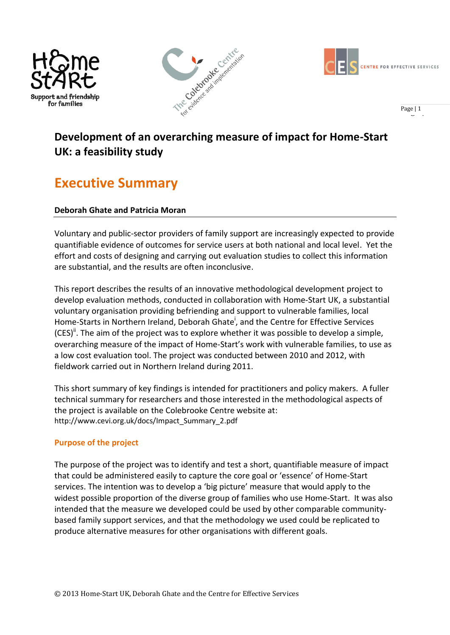





Page  $|1$ 

# **Development of an overarching measure of impact for Home-Start UK: a feasibility study**

# **Executive Summary**

# **Deborah Ghate and Patricia Moran**

Voluntary and public-sector providers of family support are increasingly expected to provide quantifiable evidence of outcomes for service users at both national and local level. Yet the effort and costs of designing and carrying out evaluation studies to collect this information are substantial, and the results are often inconclusive.

This report describes the results of an innovative methodological development project to develop evaluation methods, conducted in collaboration with Home-Start UK, a substantial voluntary organisation providing befriending and support to vulnerable families, local Home-Starts in Northern Ireland, Deborah Ghate<sup>i</sup>, and the Centre for Effective Services  $(CES)^{ii}$ . The aim of the project was to explore whether it was possible to develop a simple, overarching measure of the impact of Home-Start's work with vulnerable families, to use as a low cost evaluation tool. The project was conducted between 2010 and 2012, with fieldwork carried out in Northern Ireland during 2011.

This short summary of key findings is intended for practitioners and policy makers. A fuller technical summary for researchers and those interested in the methodological aspects of the project is available on the Colebrooke Centre website at: http://www.cevi.org.uk/docs/Impact\_Summary\_2.pdf

# **Purpose of the project**

The purpose of the project was to identify and test a short, quantifiable measure of impact that could be administered easily to capture the core goal or 'essence' of Home-Start services. The intention was to develop a 'big picture' measure that would apply to the widest possible proportion of the diverse group of families who use Home-Start. It was also intended that the measure we developed could be used by other comparable communitybased family support services, and that the methodology we used could be replicated to produce alternative measures for other organisations with different goals.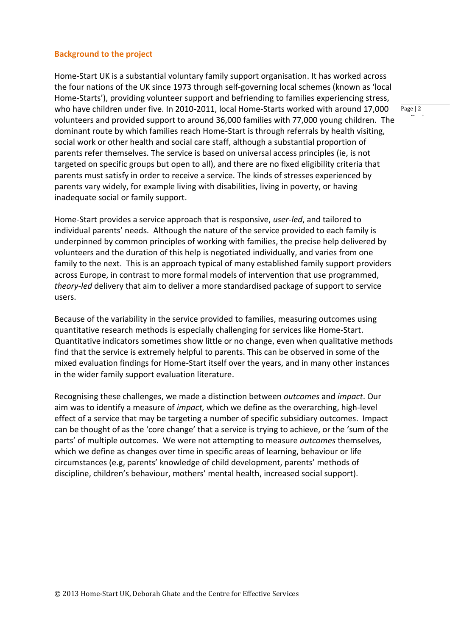#### **Background to the project**

Home-Start UK is a substantial voluntary family support organisation. It has worked across the four nations of the UK since 1973 through self-governing local schemes (known as 'local Home-Starts'), providing volunteer support and befriending to families experiencing stress, who have children under five. In 2010-2011, local Home-Starts worked with around 17,000 volunteers and provided support to around 36,000 families with 77,000 young children. The dominant route by which families reach Home-Start is through referrals by health visiting, social work or other health and social care staff, although a substantial proportion of parents refer themselves. The service is based on universal access principles (ie, is not targeted on specific groups but open to all), and there are no fixed eligibility criteria that parents must satisfy in order to receive a service. The kinds of stresses experienced by parents vary widely, for example living with disabilities, living in poverty, or having inadequate social or family support.

Home-Start provides a service approach that is responsive, *user-led*, and tailored to individual parents' needs. Although the nature of the service provided to each family is underpinned by common principles of working with families, the precise help delivered by volunteers and the duration of this help is negotiated individually, and varies from one family to the next. This is an approach typical of many established family support providers across Europe, in contrast to more formal models of intervention that use programmed, *theory-led* delivery that aim to deliver a more standardised package of support to service users.

Because of the variability in the service provided to families, measuring outcomes using quantitative research methods is especially challenging for services like Home-Start. Quantitative indicators sometimes show little or no change, even when qualitative methods find that the service is extremely helpful to parents. This can be observed in some of the mixed evaluation findings for Home-Start itself over the years, and in many other instances in the wider family support evaluation literature.

Recognising these challenges, we made a distinction between *outcomes* and *impact*. Our aim was to identify a measure of *impact,* which we define as the overarching, high-level effect of a service that may be targeting a number of specific subsidiary outcomes. Impact can be thought of as the 'core change' that a service is trying to achieve, or the 'sum of the parts' of multiple outcomes. We were not attempting to measure *outcomes* themselves*,* which we define as changes over time in specific areas of learning, behaviour or life circumstances (e.g, parents' knowledge of child development, parents' methods of discipline, children's behaviour, mothers' mental health, increased social support).

Page  $|2$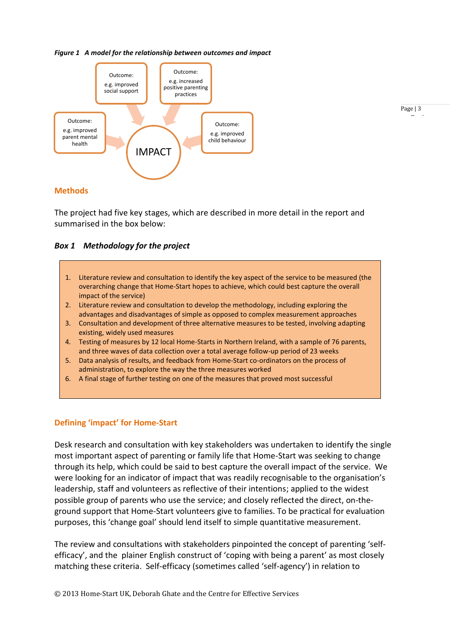#### *Figure 1 A model for the relationship between outcomes and impact*



# Page  $|3 \rangle$

#### **Methods**

The project had five key stages, which are described in more detail in the report and summarised in the box below:

#### *Box 1 Methodology for the project*

- 1. Literature review and consultation to identify the key aspect of the service to be measured (the overarching change that Home-Start hopes to achieve, which could best capture the overall impact of the service)
- 2. Literature review and consultation to develop the methodology, including exploring the advantages and disadvantages of simple as opposed to complex measurement approaches
- 3. Consultation and development of three alternative measures to be tested, involving adapting existing, widely used measures
- 4. Testing of measures by 12 local Home-Starts in Northern Ireland, with a sample of 76 parents, and three waves of data collection over a total average follow-up period of 23 weeks
- 5. Data analysis of results, and feedback from Home-Start co-ordinators on the process of administration, to explore the way the three measures worked
- 6. A final stage of further testing on one of the measures that proved most successful

## **Defining 'impact' for Home-Start**

Desk research and consultation with key stakeholders was undertaken to identify the single most important aspect of parenting or family life that Home-Start was seeking to change through its help, which could be said to best capture the overall impact of the service. We were looking for an indicator of impact that was readily recognisable to the organisation's leadership, staff and volunteers as reflective of their intentions; applied to the widest possible group of parents who use the service; and closely reflected the direct, on-theground support that Home-Start volunteers give to families. To be practical for evaluation purposes, this 'change goal' should lend itself to simple quantitative measurement.

The review and consultations with stakeholders pinpointed the concept of parenting 'selfefficacy', and the plainer English construct of 'coping with being a parent' as most closely matching these criteria. Self-efficacy (sometimes called 'self-agency') in relation to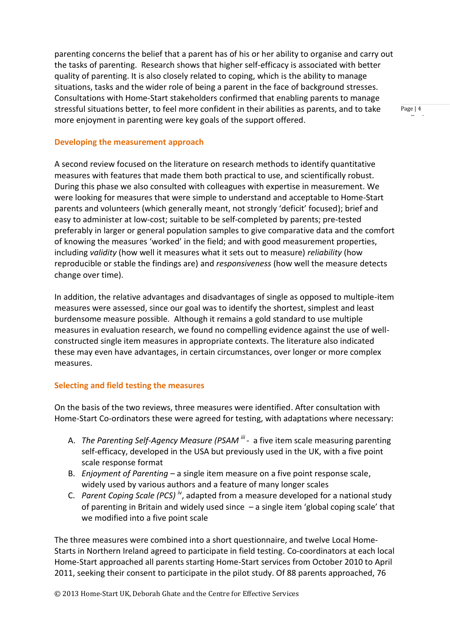parenting concerns the belief that a parent has of his or her ability to organise and carry out the tasks of parenting. Research shows that higher self-efficacy is associated with better quality of parenting. It is also closely related to coping, which is the ability to manage situations, tasks and the wider role of being a parent in the face of background stresses. Consultations with Home-Start stakeholders confirmed that enabling parents to manage stressful situations better, to feel more confident in their abilities as parents, and to take more enjoyment in parenting were key goals of the support offered.

**Developing the measurement approach**

A second review focused on the literature on research methods to identify quantitative measures with features that made them both practical to use, and scientifically robust. During this phase we also consulted with colleagues with expertise in measurement. We were looking for measures that were simple to understand and acceptable to Home-Start parents and volunteers (which generally meant, not strongly 'deficit' focused); brief and easy to administer at low-cost; suitable to be self-completed by parents; pre-tested preferably in larger or general population samples to give comparative data and the comfort of knowing the measures 'worked' in the field; and with good measurement properties, including *validity* (how well it measures what it sets out to measure) *reliability* (how reproducible or stable the findings are) and *responsiveness* (how well the measure detects change over time).

In addition, the relative advantages and disadvantages of single as opposed to multiple-item measures were assessed, since our goal was to identify the shortest, simplest and least burdensome measure possible. Although it remains a gold standard to use multiple measures in evaluation research, we found no compelling evidence against the use of wellconstructed single item measures in appropriate contexts. The literature also indicated these may even have advantages, in certain circumstances, over longer or more complex measures.

# **Selecting and field testing the measures**

On the basis of the two reviews, three measures were identified. After consultation with Home-Start Co-ordinators these were agreed for testing, with adaptations where necessary:

- A. The Parenting Self-Agency Measure (PSAM<sup> iii</sup> a five item scale measuring parenting self-efficacy, developed in the USA but previously used in the UK, with a five point scale response format
- B. *Enjoyment of Parenting* a single item measure on a five point response scale, widely used by various authors and a feature of many longer scales
- C. *Parent Coping Scale (PCS) iv*, adapted from a measure developed for a national study of parenting in Britain and widely used since – a single item 'global coping scale' that we modified into a five point scale

The three measures were combined into a short questionnaire, and twelve Local Home-Starts in Northern Ireland agreed to participate in field testing. Co-coordinators at each local Home-Start approached all parents starting Home-Start services from October 2010 to April 2011, seeking their consent to participate in the pilot study. Of 88 parents approached, 76

Page  $|4$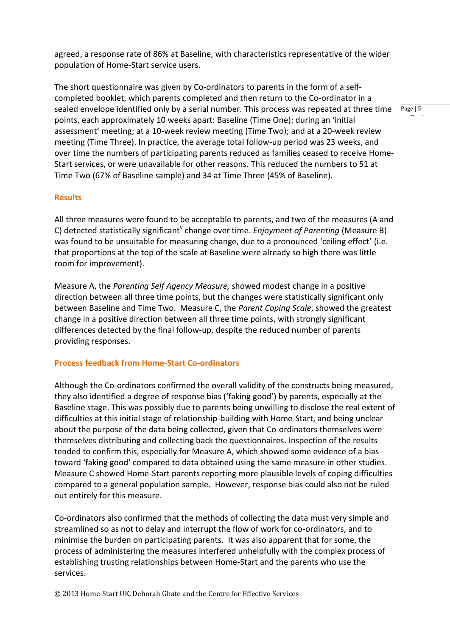agreed, a response rate of 86% at Baseline, with characteristics representative of the wider population of Home-Start service users.

The short questionnaire was given by Co-ordinators to parents in the form of a selfcompleted booklet, which parents completed and then return to the Co-ordinator in a sealed envelope identified only by a serial number. This process was repeated at three time points, each approximately 10 weeks apart: Baseline (Time One): during an 'initial assessment' meeting; at a 10-week review meeting (Time Two); and at a 20-week review meeting (Time Three). In practice, the average total follow-up period was 23 weeks, and over time the numbers of participating parents reduced as families ceased to receive Home-Start services, or were unavailable for other reasons. This reduced the numbers to 51 at Time Two (67% of Baseline sample) and 34 at Time Three (45% of Baseline).

## **Results**

All three measures were found to be acceptable to parents, and two of the measures (A and C) detected statistically significant<sup>v</sup> change over time. *Enjoyment of Parenting* (Measure B) was found to be unsuitable for measuring change, due to a pronounced 'ceiling effect' (i.e. that proportions at the top of the scale at Baseline were already so high there was little room for improvement).

Measure A, the *Parenting Self Agency Measure,* showed modest change in a positive direction between all three time points, but the changes were statistically significant only between Baseline and Time Two. Measure C, the *Parent Coping Scale*, showed the greatest change in a positive direction between all three time points, with strongly significant differences detected by the final follow-up, despite the reduced number of parents providing responses.

## **Process feedback from Home-Start Co-ordinators**

Although the Co-ordinators confirmed the overall validity of the constructs being measured, they also identified a degree of response bias ('faking good') by parents, especially at the Baseline stage. This was possibly due to parents being unwilling to disclose the real extent of difficulties at this initial stage of relationship-building with Home-Start, and being unclear about the purpose of the data being collected, given that Co-ordinators themselves were themselves distributing and collecting back the questionnaires. Inspection of the results tended to confirm this, especially for Measure A, which showed some evidence of a bias toward 'faking good' compared to data obtained using the same measure in other studies. Measure C showed Home-Start parents reporting more plausible levels of coping difficulties compared to a general population sample. However, response bias could also not be ruled out entirely for this measure.

Co-ordinators also confirmed that the methods of collecting the data must very simple and streamlined so as not to delay and interrupt the flow of work for co-ordinators, and to minimise the burden on participating parents. It was also apparent that for some, the process of administering the measures interfered unhelpfully with the complex process of establishing trusting relationships between Home-Start and the parents who use the services.

Page  $| 5 \rangle$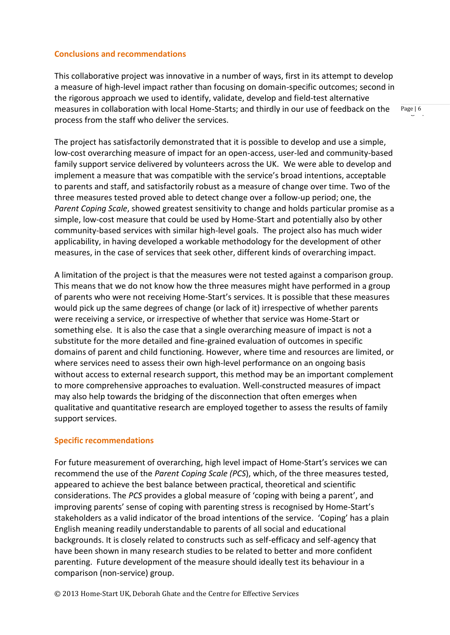## **Conclusions and recommendations**

This collaborative project was innovative in a number of ways, first in its attempt to develop a measure of high-level impact rather than focusing on domain-specific outcomes; second in the rigorous approach we used to identify, validate, develop and field-test alternative measures in collaboration with local Home-Starts; and thirdly in our use of feedback on the process from the staff who deliver the services.

The project has satisfactorily demonstrated that it is possible to develop and use a simple, low-cost overarching measure of impact for an open-access, user-led and community-based family support service delivered by volunteers across the UK. We were able to develop and implement a measure that was compatible with the service's broad intentions, acceptable to parents and staff, and satisfactorily robust as a measure of change over time. Two of the three measures tested proved able to detect change over a follow-up period; one, the *Parent Coping Scale*, showed greatest sensitivity to change and holds particular promise as a simple, low-cost measure that could be used by Home-Start and potentially also by other community-based services with similar high-level goals. The project also has much wider applicability, in having developed a workable methodology for the development of other measures, in the case of services that seek other, different kinds of overarching impact.

A limitation of the project is that the measures were not tested against a comparison group. This means that we do not know how the three measures might have performed in a group of parents who were not receiving Home-Start's services. It is possible that these measures would pick up the same degrees of change (or lack of it) irrespective of whether parents were receiving a service, or irrespective of whether that service was Home-Start or something else. It is also the case that a single overarching measure of impact is not a substitute for the more detailed and fine-grained evaluation of outcomes in specific domains of parent and child functioning. However, where time and resources are limited, or where services need to assess their own high-level performance on an ongoing basis without access to external research support, this method may be an important complement to more comprehensive approaches to evaluation. Well-constructed measures of impact may also help towards the bridging of the disconnection that often emerges when qualitative and quantitative research are employed together to assess the results of family support services.

## **Specific recommendations**

For future measurement of overarching, high level impact of Home-Start's services we can recommend the use of the *Parent Coping Scale (PCS*), which, of the three measures tested, appeared to achieve the best balance between practical, theoretical and scientific considerations. The *PCS* provides a global measure of 'coping with being a parent', and improving parents' sense of coping with parenting stress is recognised by Home-Start's stakeholders as a valid indicator of the broad intentions of the service. 'Coping' has a plain English meaning readily understandable to parents of all social and educational backgrounds. It is closely related to constructs such as self-efficacy and self-agency that have been shown in many research studies to be related to better and more confident parenting. Future development of the measure should ideally test its behaviour in a comparison (non-service) group.

© 2013 Home-Start UK, Deborah Ghate and the Centre for Effective Services

Page  $\vert 6 \vert$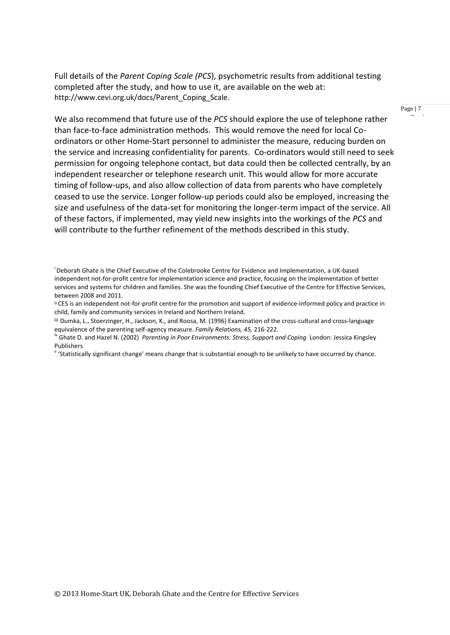Full details of the *Parent Coping Scale (PCS*), psychometric results from additional testing completed after the study, and how to use it, are available on the web at: http://www.cevi.org.uk/docs/Parent Coping Scale.

Page  $| 7 \cdot \cdot \cdot \cdot$ 

We also recommend that future use of the *PCS* should explore the use of telephone rather than face-to-face administration methods. This would remove the need for local Coordinators or other Home-Start personnel to administer the measure, reducing burden on the service and increasing confidentiality for parents. Co-ordinators would still need to seek permission for ongoing telephone contact, but data could then be collected centrally, by an independent researcher or telephone research unit. This would allow for more accurate timing of follow-ups, and also allow collection of data from parents who have completely ceased to use the service. Longer follow-up periods could also be employed, increasing the size and usefulness of the data-set for monitoring the longer-term impact of the service. All of these factors, if implemented, may yield new insights into the workings of the *PCS* and will contribute to the further refinement of the methods described in this study.

<sup>&</sup>lt;sup>i</sup>Deborah Ghate is the Chief Executive of the Colebrooke Centre for Evidence and Implementation, a UK-based independent not-for-profit centre for implementation science and practice, focusing on the implementation of better services and systems for children and families. She was the founding Chief Executive of the Centre for Effective Services, between 2008 and 2011.

ii CES is an independent not-for-profit centre for the promotion and support of evidence-informed policy and practice in child, family and community services in Ireland and Northern Ireland.

iii Dumka, L., Stoerzinger, H., Jackson, K., and Roosa, M. (1996) Examination of the cross-cultural and cross-language equivalence of the parenting self-agency measure. *Family Relations, 45,* 216-222.

iv Ghate D. and Hazel N. (2002) *Parenting in Poor Environments: Stress, Support and Coping* London: Jessica Kingsley Publishers

<sup>&</sup>lt;sup>v</sup> 'Statistically significant change' means change that is substantial enough to be unlikely to have occurred by chance.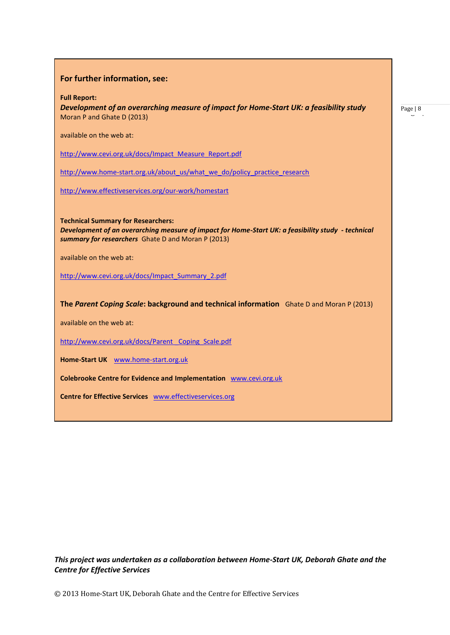**For further information, see:**

**Full Report:** 

*Development of an overarching measure of impact for Home-Start UK: a feasibility study* Moran P and Ghate D (2013)

available on the web at:

[http://www.cevi.org.uk/docs/Impact\\_Measure\\_Report.pdf](http://www.cevi.org.uk/docs/Impact_Measure_Report.pdf)

[http://www.home-start.org.uk/about\\_us/what\\_we\\_do/policy\\_practice\\_research](http://www.home-start.org.uk/about_us/what_we_do/policy_practice_research)

<http://www.effectiveservices.org/our-work/homestart>

**Technical Summary for Researchers:**  *Development of an overarching measure of impact for Home-Start UK: a feasibility study - technical summary for researchers* Ghate D and Moran P (2013)

available on the web at:

[http://www.cevi.org.uk/docs/Impact\\_Summary\\_2.pdf](http://www.cevi.org.uk/docs/Impact_Summary_2.pdf)

**The** *Parent Coping Scale***: background and technical information** Ghate D and Moran P (2013)

available on the web at:

http://www.cevi.org.uk/docs/Parent Coping Scale.pdf

**Home-Start UK** [www.home-start.org.uk](http://www.home-start.org.uk/)

**Colebrooke Centre for Evidence and Implementation** [www.cevi.org.uk](http://www.cevi.org.uk/)

**Centre for Effective Services** [www.effectiveservices.org](http://www.effectiveservices.org/)

*This project was undertaken as a collaboration between Home-Start UK, Deborah Ghate and the Centre for Effective Services*

Page  $|8$